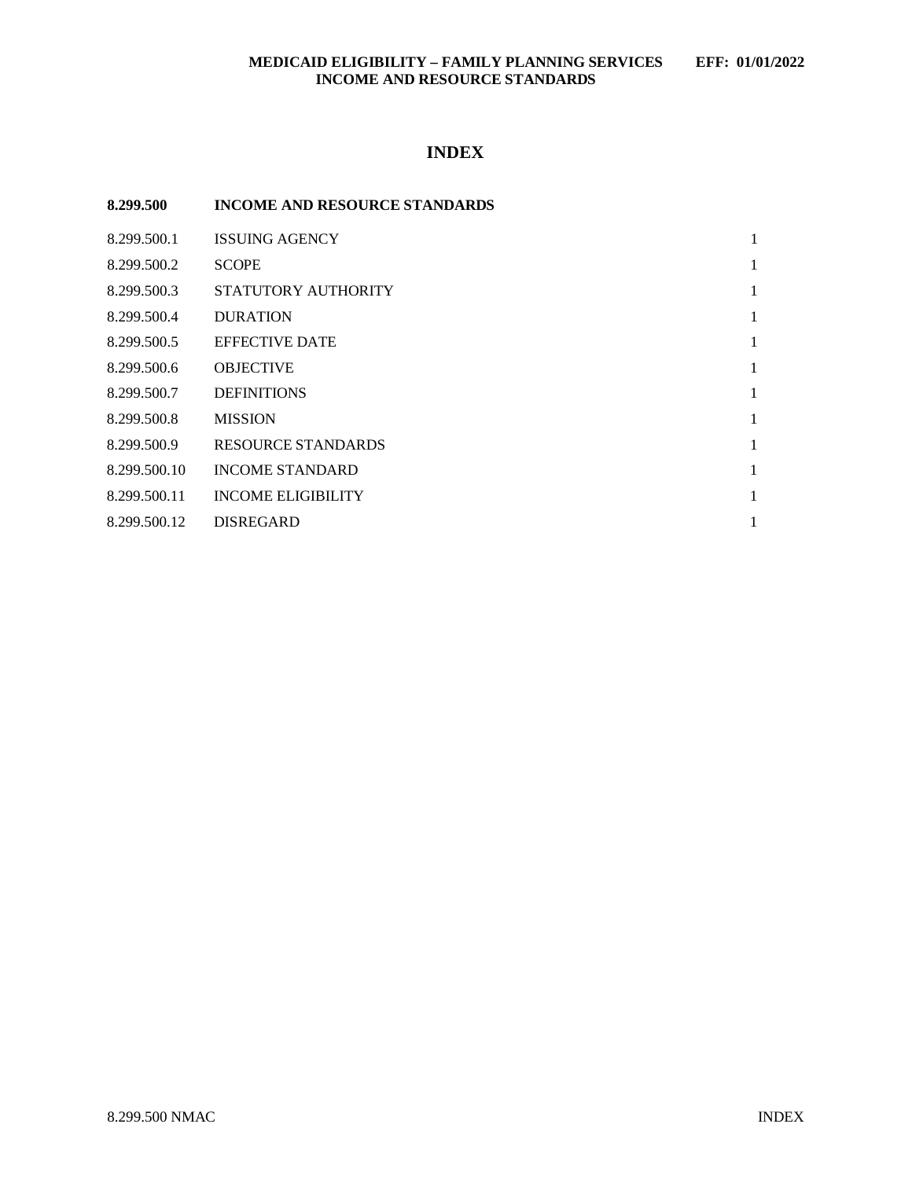## **MEDICAID ELIGIBILITY – FAMILY PLANNING SERVICES EFF: 01/01/2022 INCOME AND RESOURCE STANDARDS**

# **INDEX**

| 8.299.500    | <b>INCOME AND RESOURCE STANDARDS</b> |   |
|--------------|--------------------------------------|---|
| 8.299.500.1  | <b>ISSUING AGENCY</b>                | 1 |
| 8.299.500.2  | <b>SCOPE</b>                         | 1 |
| 8.299.500.3  | STATUTORY AUTHORITY                  | 1 |
| 8.299.500.4  | <b>DURATION</b>                      | 1 |
| 8.299.500.5  | <b>EFFECTIVE DATE</b>                | 1 |
| 8.299.500.6  | <b>OBJECTIVE</b>                     | 1 |
| 8.299.500.7  | <b>DEFINITIONS</b>                   | 1 |
| 8.299.500.8  | <b>MISSION</b>                       | 1 |
| 8.299.500.9  | RESOURCE STANDARDS                   | 1 |
| 8.299.500.10 | <b>INCOME STANDARD</b>               | 1 |
| 8.299.500.11 | <b>INCOME ELIGIBILITY</b>            | 1 |
| 8.299.500.12 | <b>DISREGARD</b>                     | 1 |